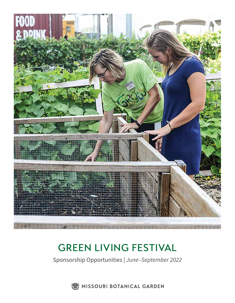

## GREEN LIVING FESTIVAL

Sponsorship Opportunities | *June–September 2022*

WE MISSOURI BOTANICAL GARDEN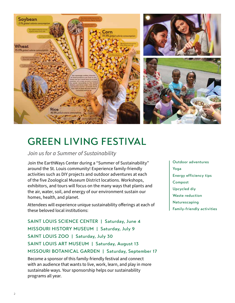

## GREEN LIVING FESTIVAL

*Join us for a Summer of Sustainability*

Join the EarthWays Center during a "Summer of Sustainability" around the St. Louis community! Experience family-friendly activities such as DIY projects and outdoor adventures at each of the five Zoological Museum District locations. Workshops, exhibitors, and tours will focus on the many ways that plants and the air, water, soil, and energy of our environment sustain our homes, health, and planet.

Attendees will experience unique sustainability offerings at each of these beloved local institutions:

SAINT LOUIS SCIENCE CENTER | Saturday, June 4 MISSOURI HISTORY MUSEUM | Saturday, July 9 SAINT LOUIS ZOO | Saturday, July 30 SAINT LOUIS ART MUSEUM | Saturday, August 13 MISSOURI BOTANICAL GARDEN | Saturday, September 17

Become a sponsor of this family-friendly festival and connect with an audience that wants to live, work, learn, and play in more sustainable ways. Your sponsorship helps our sustainability programs all year.

Outdoor adventures Yoga Energy efficiency tips Compost Upcycled diy Waste reduction Naturescaping Family-friendly activities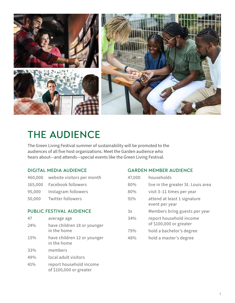

# THE AUDIENCE

The Green Living Festival summer of sustainability will be promoted to the audiences of all five host organizations. Meet the Garden audience who hears about—and attends—special events like the Green Living Festival.

### DIGITAL MEDIA AUDIENCE

- 460,000 website visitors per month
- 165,000 Facebook followers
- 95,000 Instagram followers
- 50,000 Twitter followers

### PUBLIC FESTIVAL AUDIENCE

47 average age 24% have children 18 or younger in the home 15% have children 12 or younger in the home 33% members 49% local adult visitors 41% report household income of \$100,000 or greater

#### GARDEN MEMBER AUDIENCE

| 47,000 | households                                         |
|--------|----------------------------------------------------|
| 80%    | live in the greater St. Louis area                 |
| 80%    | visit 3–11 times per year                          |
| 91%    | attend at least 1 signature<br>event per year      |
| 3x     | Members bring guests per year                      |
| 34%    | report household income<br>of \$100,000 or greater |
| 79%    | hold a bachelor's degree                           |
| 48%    | hold a master's degree                             |